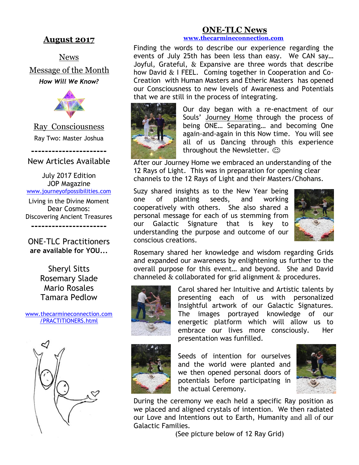### **August 2017**

News Message of the Month *How Will We Know?*



Ray Consciousness Ray Two: Master Joshua

**----------------------** New Articles Available

July 2017 Edition JOP Magazine [www.journeyofpossibilities.com](http://www.journeyofpossibilities.com/)

Living in the Divine Moment Dear Cosmos: Discovering Ancient Treasures **----------------------**

ONE-TLC Practitioners **are available for YOU...**

> Sheryl Sitts Rosemary Slade Mario Rosales Tamara Pedlow

[www.thecarmineconnection.com](http://www.thecarmineconnection.com/PRACTITIONERS.html) [/PRACTITIONERS.html](http://www.thecarmineconnection.com/PRACTITIONERS.html)



#### **ONE-TLC News [www.thecarmineconnection.com](http://www.thecarmineconnection.com/)**

Finding the words to describe our experience regarding the events of July 25th has been less than easy. We CAN say… Joyful, Grateful, & Expansive are three words that describe how David & I FEEL. Coming together in Cooperation and Co-Creation with Human Masters and Etheric Masters has opened our Consciousness to new levels of Awareness and Potentials



Our day began with a re-enactment of our Souls' Journey Home through the process of being ONE… Separating… and becoming One again-and-again in this Now time. You will see all of us Dancing through this experience throughout the Newsletter.  $\odot$ 

After our Journey Home we embraced an understanding of the 12 Rays of Light. This was in preparation for opening clear channels to the 12 Rays of Light and their Masters/Chohans.

Suzy shared insights as to the New Year being one of planting seeds, and working cooperatively with others. She also shared a personal message for each of us stemming from our Galactic Signature that is key to understanding the purpose and outcome of our conscious creations.



Rosemary shared her knowledge and wisdom regarding Grids and expanded our awareness by enlightening us further to the overall purpose for this event… and beyond. She and David channeled & collaborated for grid alignment & procedures.



Carol shared her Intuitive and Artistic talents by presenting each of us with personalized Insightful artwork of our Galactic Signatures. The images portrayed knowledge of our energetic platform which will allow us to embrace our lives more consciously. Her presentation was funfilled.



Seeds of intention for ourselves and the world were planted and we then opened personal doors of potentials before participating in the actual Ceremony.



During the ceremony we each held a specific Ray position as we placed and aligned crystals of intention. We then radiated our Love and Intentions out to Earth, Humanity and all of our Galactic Families.

(See picture below of 12 Ray Grid)